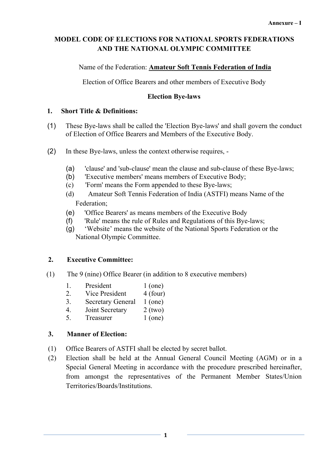# **MODEL CODE OF ELECTIONS FOR NATIONAL SPORTS FEDERATIONS AND THE NATIONAL OLYMPIC COMMITTEE**

## Name of the Federation: **Amateur Soft Tennis Federation of India**

Election of Office Bearers and other members of Executive Body

## **Election Bye-laws**

## **1. Short Title & Definitions:**

- (1) These Bye-laws shall be called the 'Election Bye-laws' and shall govern the conduct of Election of Office Bearers and Members of the Executive Body.
- (2) In these Bye-laws, unless the context otherwise requires,
	- (a) 'clause' and 'sub-clause' mean the clause and sub-clause of these Bye-laws;
	- (b) Executive members' means members of Executive Body;
	- (c) 'Form' means the Form appended to these Bye-laws;
	- (d) Amateur Soft Tennis Federation of India (ASTFI) means Name of the Federation;
	- (e) 'Office Bearers' as means members of the Executive Body
	- (f) 'Rule' means the rule of Rules and Regulations of this Bye-laws;
	- (g) 'Website' means the website of the National Sports Federation or the National Olympic Committee.

# **2. Executive Committee:**

- (1) The 9 (nine) Office Bearer (in addition to 8 executive members)
	- 1. President 1 (one)
	- 2. Vice President 4 (four)
	- 3. Secretary General 1 (one)
	- 4. Joint Secretary 2 (two)
	- 5. Treasurer 1 (one)

# **3. Manner of Election:**

- (1) Office Bearers of ASTFI shall be elected by secret ballot.
- (2) Election shall be held at the Annual General Council Meeting (AGM) or in a Special General Meeting in accordance with the procedure prescribed hereinafter, from amongst the representatives of the Permanent Member States/Union Territories/Boards/Institutions.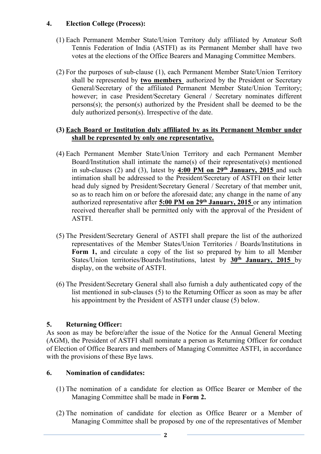## **4. Election College (Process):**

- (1) Each Permanent Member State/Union Territory duly affiliated by Amateur Soft Tennis Federation of India (ASTFI) as its Permanent Member shall have two votes at the elections of the Office Bearers and Managing Committee Members.
- (2) For the purposes of sub-clause (1), each Permanent Member State/Union Territory shall be represented by **two members** authorized by the President or Secretary General/Secretary of the affiliated Permanent Member State/Union Territory; however; in case President/Secretary General / Secretary nominates different persons(s); the person(s) authorized by the President shall be deemed to be the duly authorized person(s). Irrespective of the date.

#### **(3) Each Board or Institution duly affiliated by as its Permanent Member under shall be represented by only one representative.**

- (4) Each Permanent Member State/Union Territory and each Permanent Member Board/Institution shall intimate the name(s) of their representative(s) mentioned in sub-clauses (2) and (3), latest by  $4:00$  **PM** on  $29<sup>th</sup>$  **January, 2015** and such intimation shall be addressed to the President/Secretary of ASTFI on their letter head duly signed by President/Secretary General / Secretary of that member unit, so as to reach him on or before the aforesaid date; any change in the name of any authorized representative after **5:00 PM on 29th January, 2015** or any intimation received thereafter shall be permitted only with the approval of the President of ASTFI.
- (5) The President/Secretary General of ASTFI shall prepare the list of the authorized representatives of the Member States/Union Territories / Boards/Institutions in **Form 1,** and circulate a copy of the list so prepared by him to all Member States/Union territories/Boards/Institutions, latest by **30th January, 2015** by display, on the website of ASTFI.
- (6) The President/Secretary General shall also furnish a duly authenticated copy of the list mentioned in sub-clauses  $(5)$  to the Returning Officer as soon as may be after his appointment by the President of ASTFI under clause (5) below.

# **5. Returning Officer:**

As soon as may be before/after the issue of the Notice for the Annual General Meeting  $(AGM)$ , the President of ASTFI shall nominate a person as Returning Officer for conduct of Election of Office Bearers and members of Managing Committee ASTFI, in accordance with the provisions of these Bye laws.

### **6. Nomination of candidates:**

- (1) The nomination of a candidate for election as Office Bearer or Member of the Managing Committee shall be made in **Form 2.**
- (2) The nomination of candidate for election as Office Bearer or a Member of Managing Committee shall be proposed by one of the representatives of Member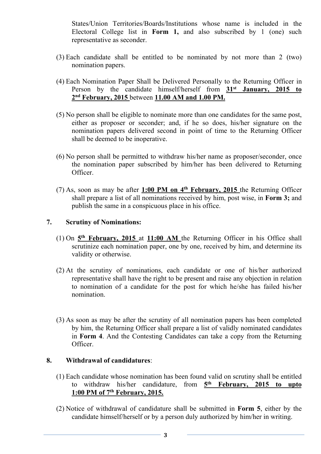States/Union Territories/Boards/Institutions whose name is included in the Electoral College list in **Form 1,** and also subscribed by 1 (one) such representative as seconder.

- (3) Each candidate shall be entitled to be nominated by not more than 2 (two) nomination papers.
- (4) Each Nomination Paper Shall be Delivered Personally to the Returning Officer in Person by the candidate himself/herself from **31st January, 2015 to 2 nd February, 2015** between **11.00 AM and 1.00 PM.**
- (5) No person shall be eligible to nominate more than one candidates for the same post, either as proposer or seconder; and, if he so does, his/her signature on the nomination papers delivered second in point of time to the Returning Officer shall be deemed to be inoperative.
- (6) No person shall be permitted to withdraw his/her name as proposer/seconder, once the nomination paper subscribed by him/her has been delivered to Returning Officer.
- (7) As, soon as may be after **1:00 PM on 4 th February, 2015** the Returning Officer shall prepare a list of all nominations received by him, post wise, in **Form 3;** and publish the same in a conspicuous place in his office.

#### **7. Scrutiny of Nominations:**

- (1) On **5 th February, 2015** at **11:00 AM** the Returning Officer in his Office shall scrutinize each nomination paper, one by one, received by him, and determine its validity or otherwise.
- (2) At the scrutiny of nominations, each candidate or one of his/her authorized representative shall have the right to be presentand raise any objection in relation to nomination of a candidate for the post for which he/she has failed his/her nomination.
- (3) As soon as may be after the scrutiny of all nomination papers has been completed by him, the Returning Officer shall prepare a list of validly nominated candidates in **Form 4**. And the Contesting Candidates can take a copy from the Returning Officer.

#### **8. Withdrawal of candidatures**:

- (1) Each candidate whose nomination has been found valid on scrutiny shall be entitled to withdraw his/her candidature, from **5 th February, 2015 to upto 1:00 PM of 7 th February, 2015.**
- (2) Notice of withdrawal of candidature shall be submitted in **Form 5**, either by the candidate himself/herself or by a person duly authorized by him/her in writing.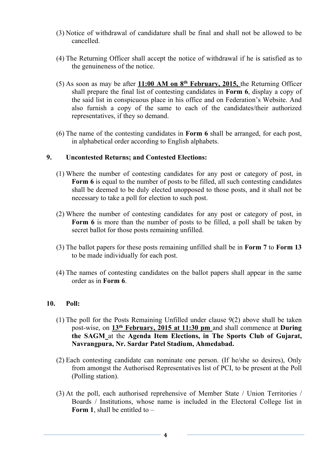- (3) Notice of withdrawal of candidature shall be final and shall not be allowed to be cancelled.
- (4) The Returning Officer shall accept the notice of withdrawal if he issatisfied as to the genuineness of the notice.
- (5) As soon as may be after **11:00 AM on 8 th February, 2015,** the Returning Officer shall prepare the final list of contesting candidates in **Form 6**, display a copy of the said list in conspicuous place in his office and on Federation's Website. And also furnish a copy of the same to each of the candidates/their authorized representatives, if they so demand.
- (6) The name of the contesting candidates in **Form 6** shall be arranged, for each post, in alphabetical order according to English alphabets.

#### **9. Uncontested Returns; and Contested Elections:**

- (1) Where the number of contesting candidates for any post or category of post, in **Form 6** is equal to the number of posts to be filled, all such contesting candidates shall be deemed to be duly elected unopposed to those posts, and it shall not be necessary to take a poll for election to such post.
- (2) Where the number of contesting candidates for any post or category of post, in **Form 6** is more than the number of posts to be filled, a poll shall be taken by secret ballot for those posts remaining unfilled.
- (3) The ballot papers for these posts remaining unfilled shall be in **Form 7** to **Form 13** to be made individually for each post.
- (4) The names of contesting candidates on the ballot papers shall appear in the same order as in **Form 6**.

#### **10. Poll:**

- (1) The poll for the Posts Remaining Unfilled under clause 9(2) above shall be taken post-wise, on **13th February, 2015 at 11:30 pm** and shall commence at **During the SAGM** at the **Agenda Item Elections, in The Sports Club of Gujarat, Navrangpura, Nr. Sardar Patel Stadium, Ahmedabad.**
- (2) Each contesting candidate can nominate one person. (If he/she so desires), Only from amongst the Authorised Representatives list of PCI, to be present at the Poll (Polling station).
- (3) At the poll, each authorised reprehensive of Member State / Union Territories / Boards / Institutions, whose name is included in the Electoral College list in **Form 1**, shall be entitled to –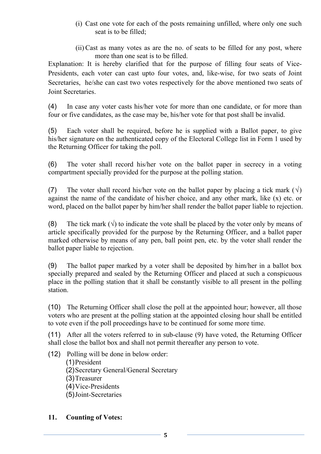- (i) Cast one vote for each of the posts remaining unfilled, where only one such seat is to be filled;
- (ii) Cast as many votes as are the no. of seats to be filled for any post, where more than one seat is to be filled.

Explanation: It is hereby clarified that for the purpose of filling four seats of Vice-Presidents, each voter can cast upto four votes, and, like-wise, for two seats of Joint Secretaries, he/she can cast two votes respectively for the above mentioned two seats of Joint Secretaries.

(4) In case any voter casts his/her vote for more than one candidate, or for more than four or five candidates, as the case may be, his/her vote for that post shall be invalid.

(5) Each voter shall be required, before he is supplied with a Ballot paper, to give his/her signature on the authenticated copy of the Electoral College list in Form 1 used by the Returning Officer for taking the poll.

(6) The voter shall record his/her vote on the ballot paper in secrecy in a voting compartment specially provided for the purpose at the polling station.

(7) The voter shall record his/her vote on the ballot paper by placing a tick mark  $(\sqrt)$ against the name of the candidate of his/her choice, and any other mark, like (x) etc. or word, placed on the ballot paper by him/her shall render the ballot paper liable to rejection.

(8) The tick mark  $(\sqrt{ } )$  to indicate the vote shall be placed by the voter only by means of article specifically provided for the purpose by the Returning Officer, and a ballot paper marked otherwise by means of any pen, ball point pen, etc. by the voter shall render the ballot paper liable to rejection.

(9) The ballot paper marked by a votershall be deposited by him/her in a ballot box specially prepared and sealed by the Returning Officer and placed at such a conspicuous place in the polling station that it shall be constantly visible to all present in the polling station.

(10) The Returning Officer shall close the poll at the appointed hour; however, all those voters who are present at the polling station at the appointed closing hour shall be entitled to vote even if the poll proceedings have to be continued for some more time.

(11) After all the voters referred to in sub-clause (9) have voted, the Returning Officer shall close the ballot box and shall not permit thereafter any person to vote.

(12) Polling will be done in below order:

(1)President

(2)Secretary General/General Secretary

(3)Treasurer

(4)Vice-Presidents

(5)Joint-Secretaries

# **11. Counting of Votes:**